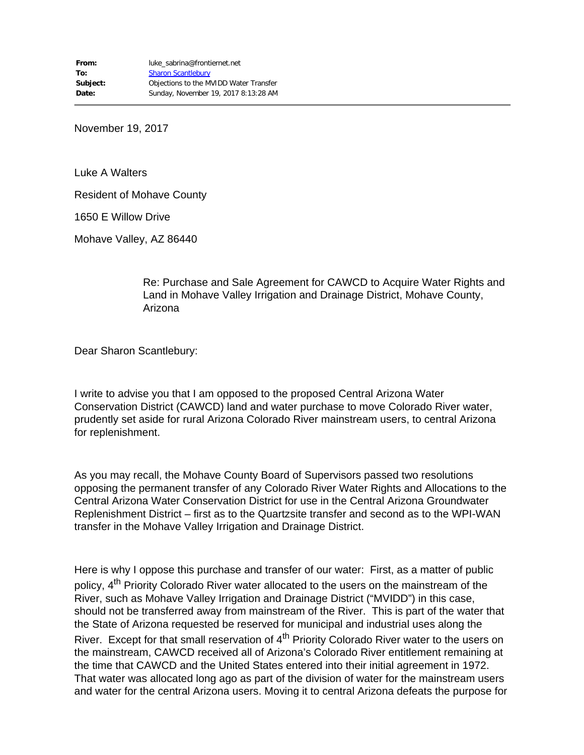November 19, 2017

Luke A Walters

Resident of Mohave County

1650 E Willow Drive

Mohave Valley, AZ 86440

Re: Purchase and Sale Agreement for CAWCD to Acquire Water Rights and Land in Mohave Valley Irrigation and Drainage District, Mohave County, Arizona

Dear Sharon Scantlebury:

I write to advise you that I am opposed to the proposed Central Arizona Water Conservation District (CAWCD) land and water purchase to move Colorado River water, prudently set aside for rural Arizona Colorado River mainstream users, to central Arizona for replenishment.

As you may recall, the Mohave County Board of Supervisors passed two resolutions opposing the permanent transfer of any Colorado River Water Rights and Allocations to the Central Arizona Water Conservation District for use in the Central Arizona Groundwater Replenishment District – first as to the Quartzsite transfer and second as to the WPI-WAN transfer in the Mohave Valley Irrigation and Drainage District.

Here is why I oppose this purchase and transfer of our water: First, as a matter of public policy, 4<sup>th</sup> Priority Colorado River water allocated to the users on the mainstream of the River, such as Mohave Valley Irrigation and Drainage District ("MVIDD") in this case, should not be transferred away from mainstream of the River. This is part of the water that the State of Arizona requested be reserved for municipal and industrial uses along the River. Except for that small reservation of 4<sup>th</sup> Priority Colorado River water to the users on the mainstream, CAWCD received all of Arizona's Colorado River entitlement remaining at the time that CAWCD and the United States entered into their initial agreement in 1972. That water was allocated long ago as part of the division of water for the mainstream users and water for the central Arizona users. Moving it to central Arizona defeats the purpose for